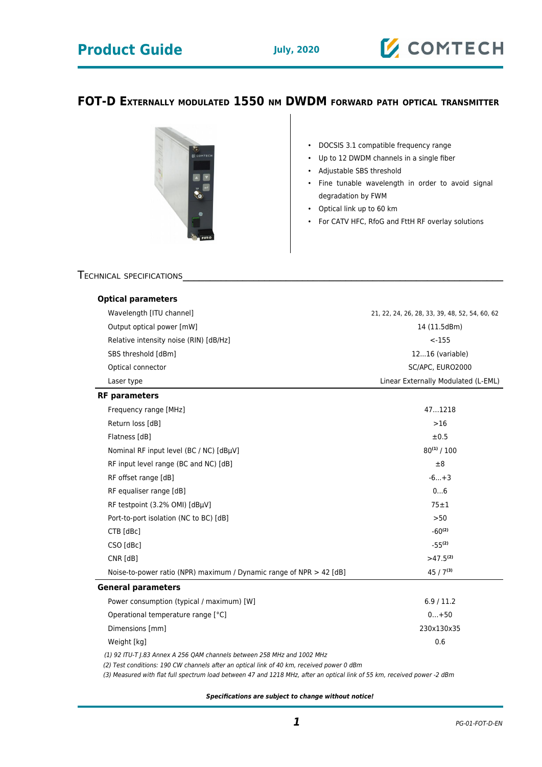# **Product Guide July, 2020**

## **FOT-D EXTERNALLY MODULATED 1550 NM DWDM FORWARD PATH OPTICAL TRANSMITTER**



• DOCSIS 3.1 compatible frequency range

- Up to 12 DWDM channels in a single fiber
- Adjustable SBS threshold
- Fine tunable wavelength in order to avoid signal degradation by FWM
- Optical link up to 60 km
- For CATV HFC, RfoG and FttH RF overlay solutions

### TECHNICAL SPECIFICATIONS

| <b>Optical parameters</b>                                                                                                                                            |                                                |
|----------------------------------------------------------------------------------------------------------------------------------------------------------------------|------------------------------------------------|
| Wavelength [ITU channel]                                                                                                                                             | 21, 22, 24, 26, 28, 33, 39, 48, 52, 54, 60, 62 |
| Output optical power [mW]                                                                                                                                            | 14 (11.5dBm)                                   |
| Relative intensity noise (RIN) [dB/Hz]                                                                                                                               | $< -155$                                       |
| SBS threshold [dBm]                                                                                                                                                  | $1216$ (variable)                              |
| Optical connector                                                                                                                                                    | SC/APC, EURO2000                               |
| Laser type                                                                                                                                                           | Linear Externally Modulated (L-EML)            |
| <b>RF</b> parameters                                                                                                                                                 |                                                |
| Frequency range [MHz]                                                                                                                                                | 471218                                         |
| Return loss [dB]                                                                                                                                                     | $>16$                                          |
| Flatness [dB]                                                                                                                                                        | ±0.5                                           |
| Nominal RF input level (BC / NC) [dBµV]                                                                                                                              | $80^{(1)}/100$                                 |
| RF input level range (BC and NC) [dB]                                                                                                                                | ±8                                             |
| RF offset range [dB]                                                                                                                                                 | $-6+3$                                         |
| RF equaliser range [dB]                                                                                                                                              | 06                                             |
| RF testpoint (3.2% OMI) [dBµV]                                                                                                                                       | $75 \pm 1$                                     |
| Port-to-port isolation (NC to BC) [dB]                                                                                                                               | >50                                            |
| CTB [dBc]                                                                                                                                                            | $-60^{(2)}$                                    |
| CSO [dBc]                                                                                                                                                            | $-55^{(2)}$                                    |
| CNR [dB]                                                                                                                                                             | >47.5 <sup>(2)</sup>                           |
| Noise-to-power ratio (NPR) maximum / Dynamic range of NPR > 42 [dB]                                                                                                  | $45/7^{(3)}$                                   |
| <b>General parameters</b>                                                                                                                                            |                                                |
| Power consumption (typical / maximum) [W]                                                                                                                            | 6.9/11.2                                       |
| Operational temperature range [°C]                                                                                                                                   | $0+50$                                         |
| Dimensions [mm]                                                                                                                                                      | 230x130x35                                     |
| Weight [kg]                                                                                                                                                          | 0.6                                            |
| (1) 92 ITU-T J.83 Annex A 256 QAM channels between 258 MHz and 1002 MHz<br>(2) Test conditions: 190 CW channels after an optical link of 40 km, received power 0 dBm |                                                |

(3) Measured with flat full spectrum load between 47 and 1218 MHz, after an optical link of 55 km, received power -2 dBm

**Specifications are subject to change without notice!**